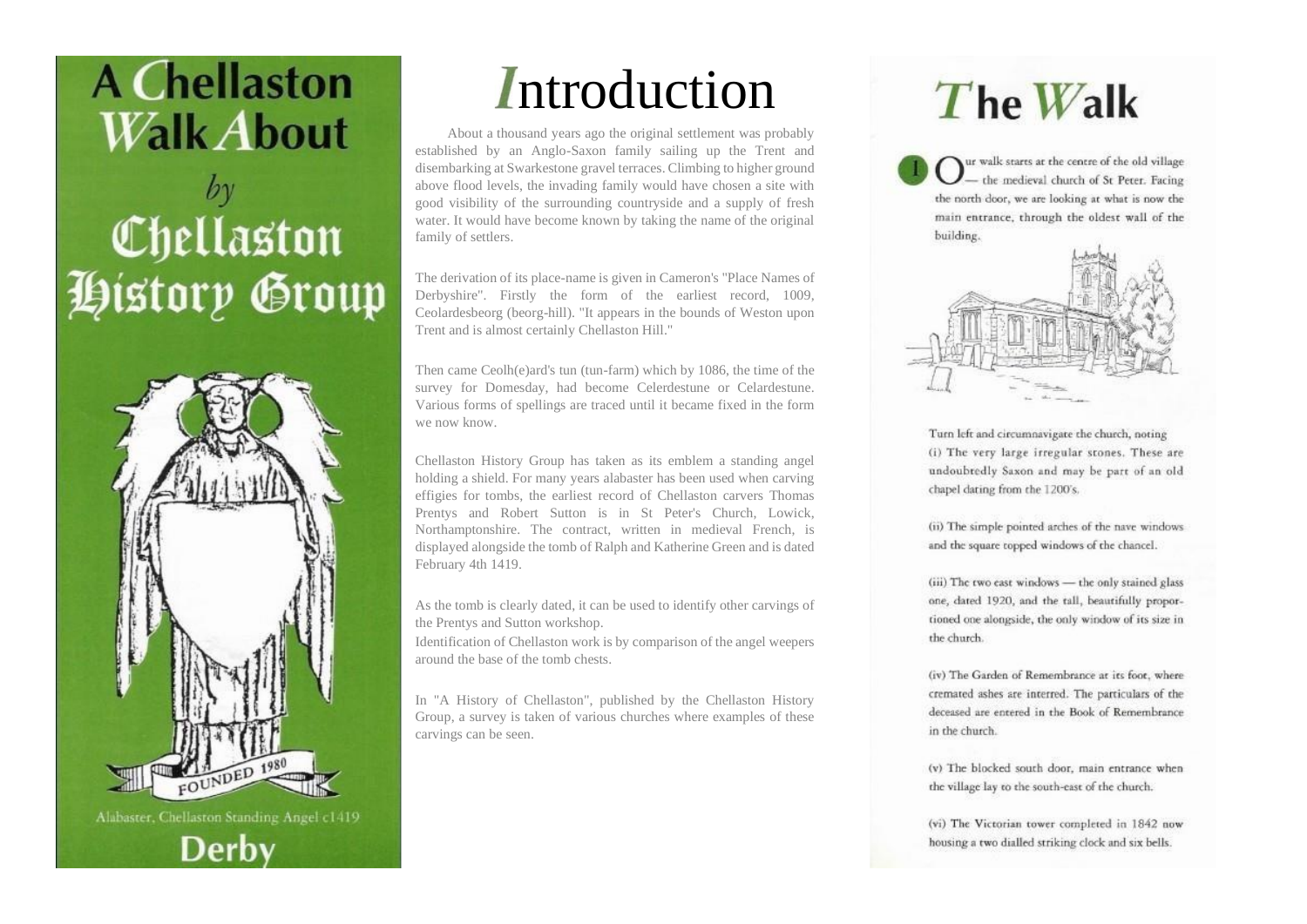

## $by$ Chellaston History Group



*Introduction* 

About a thousand years ago the original settlement was probably established by an Anglo-Saxon family sailing up the Trent and disembarking at Swarkestone gravel terraces. Climbing to higher ground above flood levels, the invading family would have chosen a site with good visibility of the surrounding countryside and a supply of fresh water. It would have become known by taking the name of the original family of settlers.

The derivation of its place-name is given in Cameron's "Place Names of Derbyshire". Firstly the form of the earliest record, 1009, Ceolardesbeorg (beorg-hill). "It appears in the bounds of Weston upon Trent and is almost certainly Chellaston Hill."

Then came Ceolh(e)ard's tun (tun-farm) which by 1086, the time of the survey for Domesday, had become Celerdestune or Celardestune. Various forms of spellings are traced until it became fixed in the form we now know.

Chellaston History Group has taken as its emblem a standing angel holding a shield. For many years alabaster has been used when carving effigies for tombs, the earliest record of Chellaston carvers Thomas Prentys and Robert Sutton is in St Peter's Church, Lowick, Northamptonshire. The contract, written in medieval French, is displayed alongside the tomb of Ralph and Katherine Green and is dated February 4th 1419.

As the tomb is clearly dated, it can be used to identify other carvings of the Prentys and Sutton workshop.

Identification of Chellaston work is by comparison of the angel weepers around the base of the tomb chests.

In "A History of Chellaston", published by the Chellaston History Group, a survey is taken of various churches where examples of these carvings can be seen.

## The Walk

Tur walk starts at the centre of the old village the medieval church of St Peter. Facing the north door, we are looking at what is now the main entrance, through the oldest wall of the building.



Turn left and circumnavigate the church, noting (i) The very large irregular stones. These are undoubtedly Saxon and may be part of an old chapel dating from the 1200's.

(ii) The simple pointed arches of the nave windows and the square topped windows of the chancel.

(iii) The two east windows - the only stained glass one, dated 1920, and the tall, beautifully proportioned one alongside, the only window of its size in the church.

(iv) The Garden of Remembrance at its foot, where cremated ashes are interred. The particulars of the deceased are entered in the Book of Remembrance in the church.

(v) The blocked south door, main entrance when the village lay to the south-east of the church.

(vi) The Victorian tower completed in 1842 now housing a two dialled striking clock and six bells.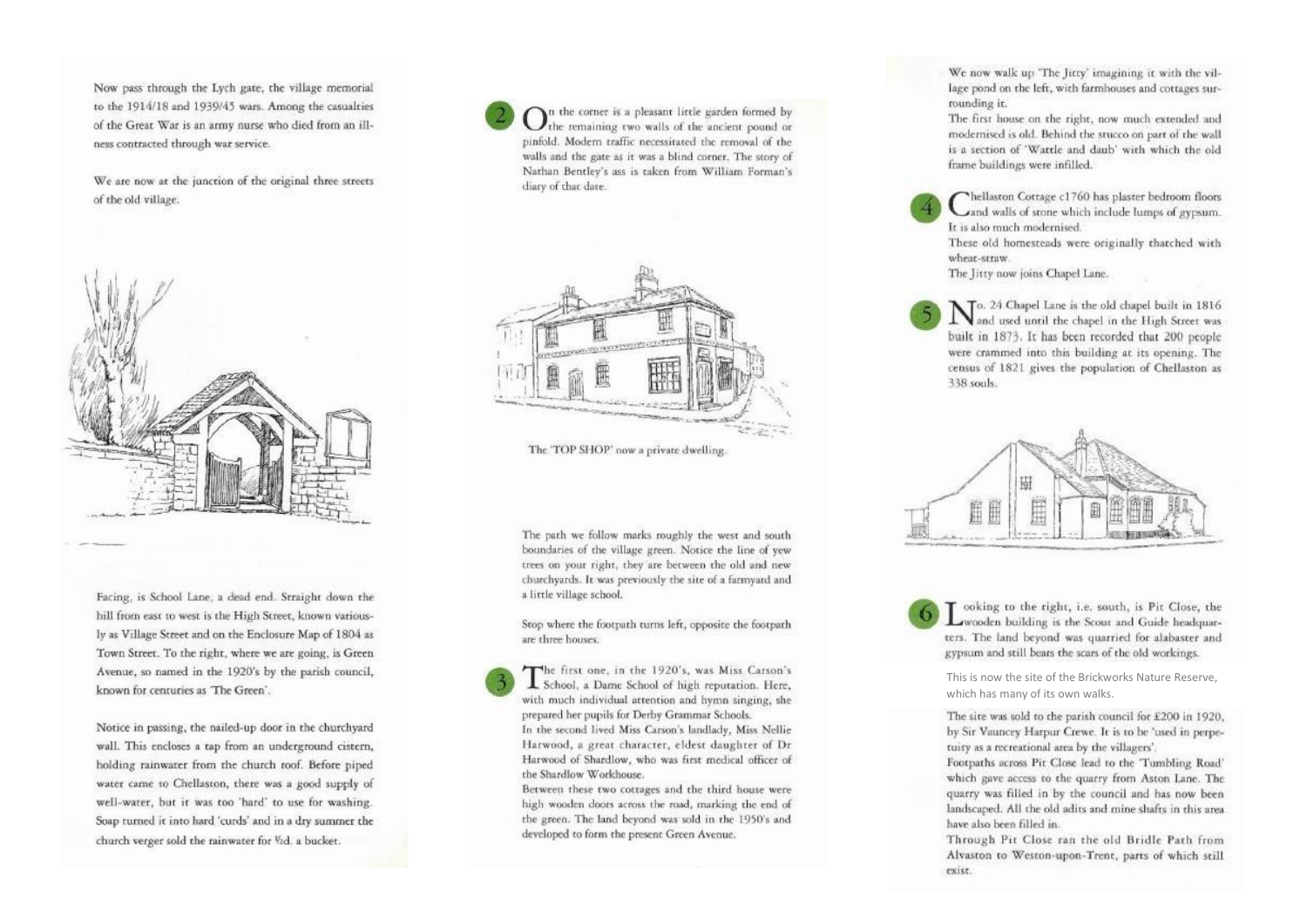Now pass through the Lych gate, the village memorial to the 1914/18 and 1939/45 wars. Among the casualties of the Great War is an army nurse who died from an illness contracted through war service.

We are now at the junction of the original three streets of the old village.



Facing, is School Lane, a dead end. Straight down the hill from east to west is the High Street, known variously as Village Street and on the Enclosure Map of 1804 as Town Street. To the right, where we are going, is Green Avenue, so named in the 1920's by the parish council, known for centuries as The Green'.

Notice in passing, the nailed-up door in the churchyard wall. This encloses a tap from an underground cistern, holding rainwater from the church roof. Before piped water came to Chellaston, there was a good supply of well-water, but it was too 'hard' to use for washing. Soap turned it into hard 'curds' and in a dry summer the church verger sold the rainwater for Vid. a bucket.

 $\mathbf{O}$ n the corner is a pleasant little garden formed by<br>the remaining two walls of the ancient pound or pinfold. Modern traffic necessitated the removal of the walls and the gate as it was a blind corner. The story of Nathan Bentley's ass is taken from William Forman's diary of that date.



The 'TOP SHOP' now a private dwelling.

The path we follow marks roughly the west and south boundaries of the village green. Notice the line of yew trees on your right, they are between the old and new churchyards. It was previously the site of a farmyard and a little village school.

Stop where the footpath turns left, opposite the footpath are three houses.

The first one, in the 1920's, was Miss Carson's<br>School, a Dame School of high reputation. Here, with much individual attention and hymn singing, she prepared her pupils for Derby Grammar Schools. In the second lived Miss Carson's landlady, Miss Nellie

Harwood, a great character, eldest daughter of Dr Harwood of Shardlow, who was first medical officer of the Shardlow Workhouse.

Between these two cottages and the third house were high wooden doors across the road, marking the end of the green. The land beyond was sold in the 1950's and developed to form the present Green Avenue.

We now walk up 'The Jitty' imagining it with the village pond on the left, with farmhouses and cottages surrounding it.

The first house on the right, now much extended and modernised is old. Behind the stucco on part of the wall is a section of 'Wattle and daub' with which the old frame buildings were infilled.

Thellaston Cottage c1760 has plaster bedroom floors and walls of stone which include lumps of gypsum. It is also much modernised.

These old homesteads were originally thatched with wheat-straw.

The Jitty now joins Chapel Lane.

 $\mathbf{N}$ o. 24 Chapel Lane is the old chapel built in 1816<br>and used until the chapel in the High Street was built in 1873. It has been recorded that 200 people were crammed into this building at its opening. The census of 1821 gives the population of Chellaston as 338 sools



T ooking to the right, i.e. south, is Pit Close, the wooden building is the Scout and Guide headquarters. The land beyond was quarried for alabaster and gypsum and still bears the scars of the old workings.

This is now the site of the Brickworks Nature Reserve, which has many of its own walks.

The site was sold to the parish council for £200 in 1920. by Sir Vauncey Harpur Crewe. It is to be 'used in perpetuity as a recreational area by the villagers'.

Footpaths across Pit Close lead to the 'Tumbling Road' which gave access to the quarry from Aston Lane. The quarry was filled in by the council and has now been landscaped. All the old adits and mine shafts in this area have also been filled in.

Through Pit Close ran the old Bridle Path from Alvaston to Weston-upon-Trent, parts of which still exist.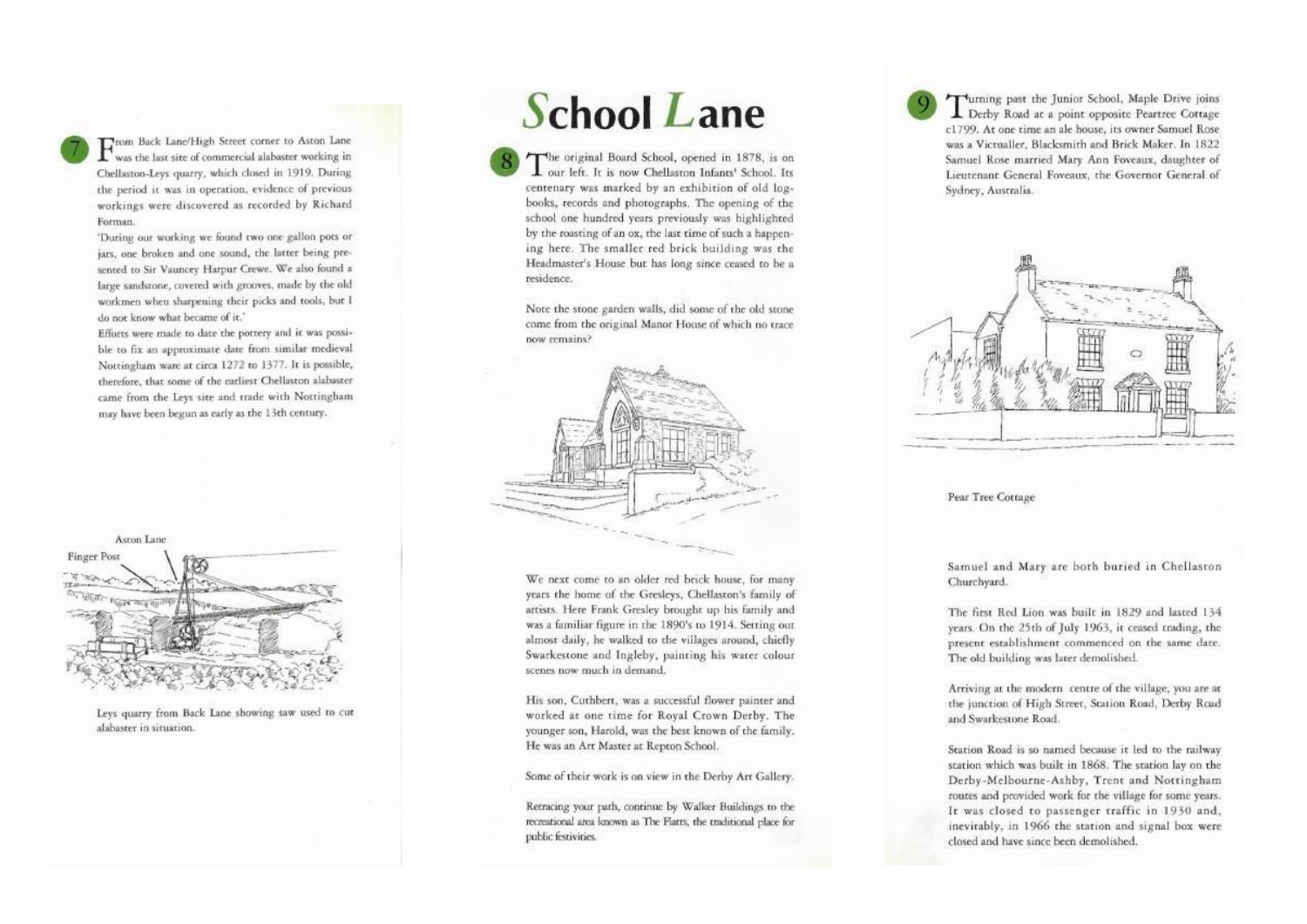

From Back Lane/High Street corner to Aston Lane<br>was the last site of commercial alabaster working in Chellaston-Leys quarry, which closed in 1919. During the period it was in operation, evidence of previous workings were discovered as recorded by Richard Forman.

'During our working we found two one gallon pots or jars, one broken and one sound, the latter being presented to Sir Vauncey Harpur Crewe. We also found a large sandstone, covered with grooves, made by the old workmen when sharpening their picks and tools, but I do not know what became of it.'

Efforts were made to date the pottery and it was possible to fix an approximate date from similar medieval Norringham ware at circa 1272 to 1377. It is possible, therefore, that some of the earliest Chellaston alabaster came from the Leys site and trade with Nottingham may have been begun as early as the 13th century.



Leys quarry from Back Lane showing saw used to cut alabaster in situation.

## **School Lane**

The original Board School, opened in 1878, is on L our left. It is now Chellaston Infants' School. Its centenary was marked by an exhibition of old logbooks, records and photographs. The opening of the school one hundred vears previously was highlighted by the roasting of an ox, the last time of such a happening here. The smaller red brick building was the Headmaster's House but has long since ceased to be a residence.

Note the stone garden walls, did some of the old stone come from the original Manor House of which no trace now remains?



We next come to an older red brick house, for many years the home of the Gresleys, Chellaston's family of artists. Here Frank Gresley brought up his family and was a familiar figure in the 1890's to 1914. Setting out almost daily, he walked to the villages around, chiefly Swarkestone and Ingleby, painting his water colour scenes now much in demand.

His son, Cuthbert, was a successful flower painter and worked at one time for Royal Crown Derby. The younger son, Harold, was the best known of the family. He was an Art Master at Repton School.

Some of their work is on view in the Derby Art Gallery.

Retracing your path, continue by Walker Buildings to the recreational area known as The Flatts, the traditional place for public festivities.

Turning past the Junior School, Maple Drive joins Derby Road at a point opposite Peartree Cottage c1799. At one time an ale house, its owner Samuel Rose was a Victualler, Blacksmith and Brick Maker. In 1822 Samuel Rose married Mary Ann Foveaux, daughter of Lieutenant General Foveaux, the Governor General of Sydney, Australia.



Pear Tree Cottage

Samuel and Mary are both buried in Chellaston Churchyard.

The first Red Lion was built in 1829 and lasted 134 years. On the 25th of July 1963, it ceased trading, the present establishment commenced on the same date. The old building was later demolished.

Arriving at the modern centre of the village, you are at the junction of High Street, Station Road, Derby Road and Swarkestone Road.

Station Road is so named because it led to the railway station which was built in 1868. The station lay on the Derby-Melbourne-Ashby, Trent and Nottingham routes and provided work for the village for some years. It was closed to passenger traffic in 1930 and, inevitably, in 1966 the station and signal box were closed and have since been demolished.